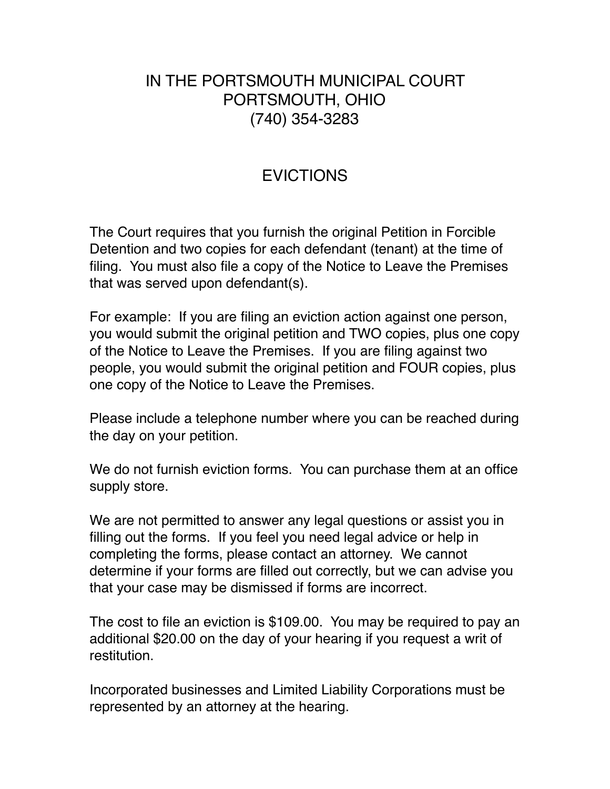## IN THE PORTSMOUTH MUNICIPAL COURT PORTSMOUTH, OHIO (740) 354-3283

## EVICTIONS

The Court requires that you furnish the original Petition in Forcible Detention and two copies for each defendant (tenant) at the time of filing. You must also file a copy of the Notice to Leave the Premises that was served upon defendant(s).

For example: If you are filing an eviction action against one person, you would submit the original petition and TWO copies, plus one copy of the Notice to Leave the Premises. If you are filing against two people, you would submit the original petition and FOUR copies, plus one copy of the Notice to Leave the Premises.

Please include a telephone number where you can be reached during the day on your petition.

We do not furnish eviction forms. You can purchase them at an office supply store.

We are not permitted to answer any legal questions or assist you in filling out the forms. If you feel you need legal advice or help in completing the forms, please contact an attorney. We cannot determine if your forms are filled out correctly, but we can advise you that your case may be dismissed if forms are incorrect.

The cost to file an eviction is \$109.00. You may be required to pay an additional \$20.00 on the day of your hearing if you request a writ of restitution.

Incorporated businesses and Limited Liability Corporations must be represented by an attorney at the hearing.